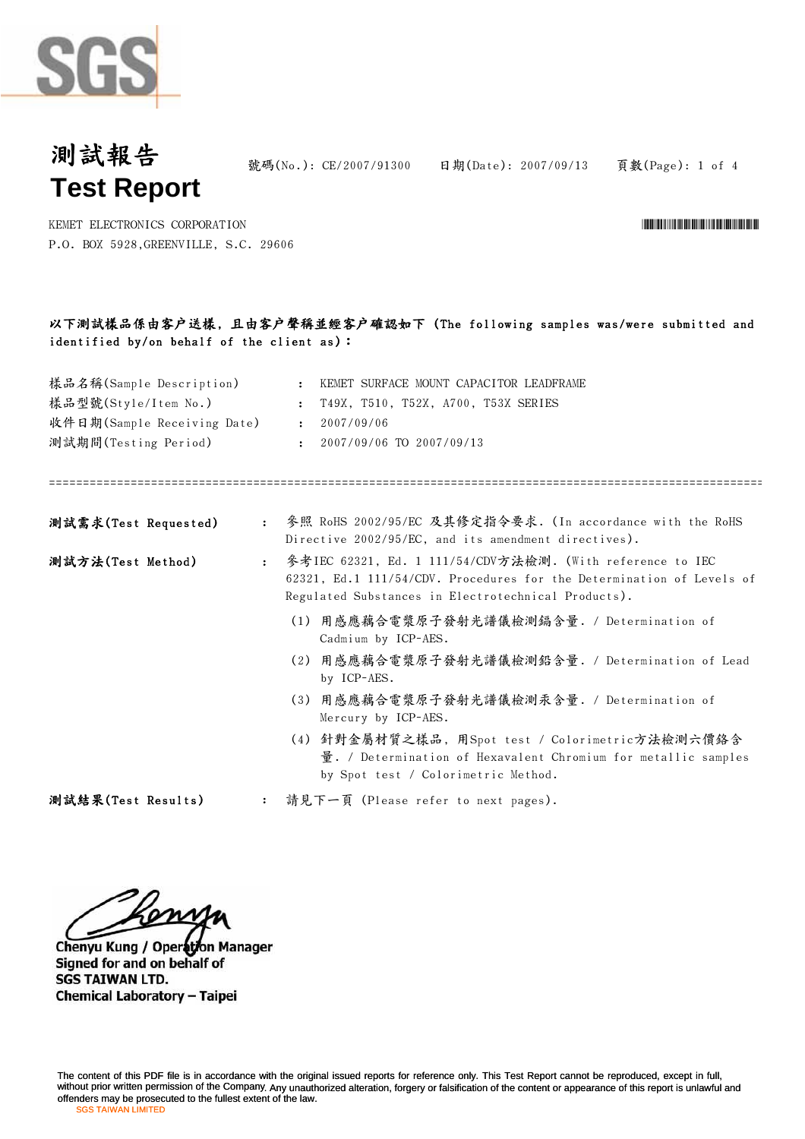

號碼(No.): CE/2007/91300 日期(Date): 2007/09/13 頁數(Page): 1 of 4

\*CE/2007/91300\*CE/2007/91300\*CE/2007/91300\*CE/2007

KEMET ELECTRONICS CORPORATION P.O. BOX 5928,GREENVILLE, S.C. 29606

## 以下測試樣品係由客戶送樣, 且由客戶聲稱並經客戶確認如下 (The following samples was/were submitted and identified by/on behalf of the client as):

| 樣品名稱(Sample Description)<br>樣品型號(Style/Item No.)<br>收件日期(Sample Receiving Date)<br>測試期間(Testing Period) |                      | KEMET SURFACE MOUNT CAPACITOR LEADFRAME<br>$\mathbf{r}$<br>T49X, T510, T52X, A700, T53X SERIES<br>$\mathbf{L}$<br>2007/09/06<br>$\sim$<br>2007/09/06 TO 2007/09/13<br>$\mathbf{r}$        |
|---------------------------------------------------------------------------------------------------------|----------------------|-------------------------------------------------------------------------------------------------------------------------------------------------------------------------------------------|
| 測試需求(Test Requested)                                                                                    | $\ddot{\cdot}$       | 參照 RoHS 2002/95/EC 及其修定指令要求. (In accordance with the RoHS<br>Directive 2002/95/EC, and its amendment directives).                                                                         |
| 測試方法(Test Method)                                                                                       | $\ddot{\phantom{a}}$ | 参考IEC 62321, Ed. 1 111/54/CDV方法檢測. (With reference to IEC<br>62321, Ed.1 111/54/CDV. Procedures for the Determination of Levels of<br>Regulated Substances in Electrotechnical Products). |
|                                                                                                         |                      | (1) 用感應藕合電漿原子發射光譜儀檢測鎘含量. / Determination of<br>Cadmium by ICP-AES.                                                                                                                        |
|                                                                                                         |                      | (2) 用感應藕合電漿原子發射光譜儀檢測鉛含量. / Determination of Lead<br>by ICP-AES.                                                                                                                           |
|                                                                                                         |                      | (3) 用感應藕合電漿原子發射光譜儀檢測汞含量. / Determination of<br>Mercury by ICP-AES.                                                                                                                        |
|                                                                                                         |                      | (4) 針對金屬材質之樣品, 用Spot test / Colorimetric方法檢測六價絡含<br>量. / Determination of Hexavalent Chromium for metallic samples<br>by Spot test / Colorimetric Method.                                 |
| 測試結果(Test Results)                                                                                      |                      | 請見下一頁 (Please refer to next pages).                                                                                                                                                       |

Chenyu Kung / Operation Manager Signed for and on behalf of **SGS TAIWAN LTD.** Chemical Laboratory - Taipei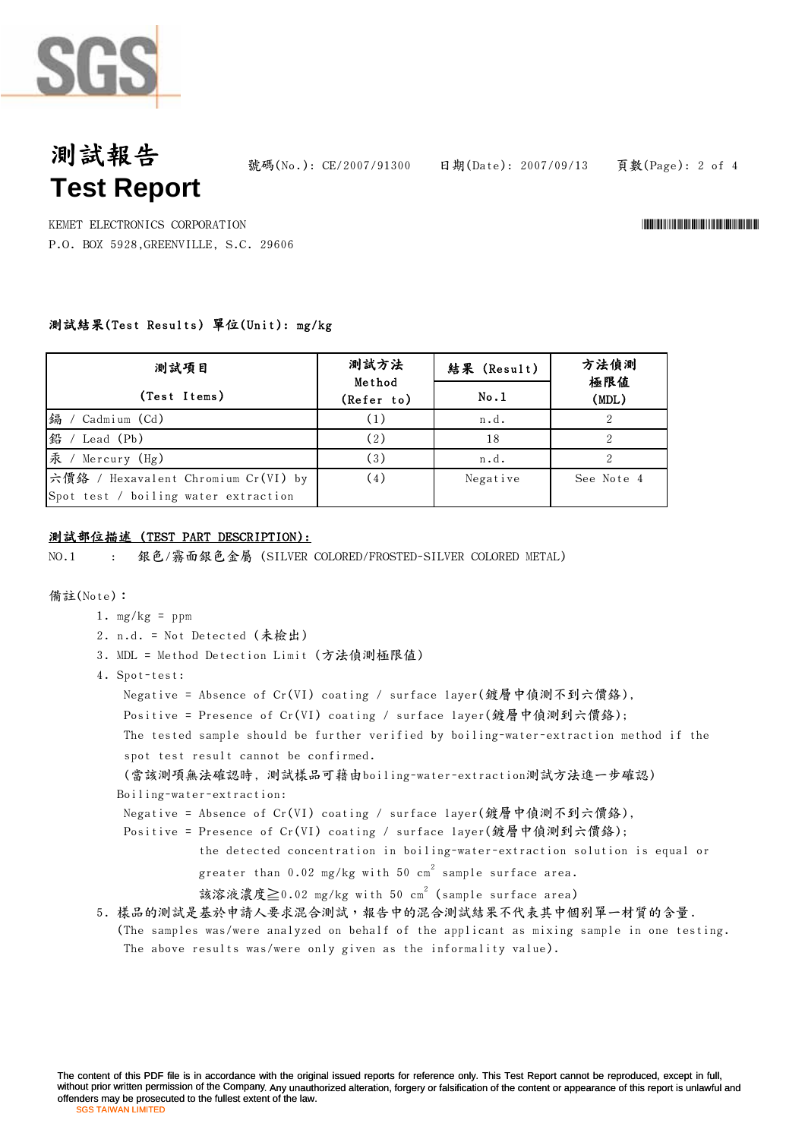

## 測試報告 **Test Report**

號碼(No.): CE/2007/91300 日期(Date): 2007/09/13 頁數(Page): 2 of 4

KEMET ELECTRONICS CORPORATION \*CE/2007/91300\* P.O. BOX 5928,GREENVILLE, S.C. 29606

### 測試結果(Test Results) 單位(Unit): mg/kg

| 测試項目                                                                        | 測試方法<br>Method | 結果 (Result) | 方法偵測<br>極限値<br>(MDL) |  |
|-----------------------------------------------------------------------------|----------------|-------------|----------------------|--|
| (Test Items)                                                                | (Refer to)     | No.1        |                      |  |
| 编 / Cadmium (Cd)                                                            |                | n.d.        |                      |  |
| 鉛 / Lead (Pb)                                                               | (2)            | 18          |                      |  |
| 汞 / Mercury (Hg)                                                            | (3)            | n.d.        |                      |  |
| 六價鉻 / Hexavalent Chromium Cr(VI) by<br>Spot test / boiling water extraction | (4)            | Negative    | See Note 4           |  |

### 測試部位描述 (TEST PART DESCRIPTION):

NO.1 : 銀色/霧面銀色金屬 (SILVER COLORED/FROSTED-SILVER COLORED METAL)

#### 備註(Note):

- 1.  $mg/kg = ppm$
- 2. n.d. = Not Detected (未檢出)
- 3. MDL = Method Detection Limit (方法偵測極限值)
- 4. Spot-test:

```
Negative = Absence of Cr(VI) coating / surface layer(鍍層中偵測不到六價鉻),
```
Positive = Presence of Cr(VI) coating / surface layer(鍍層中偵測到六價鉻);

The tested sample should be further verified by boiling-water-extraction method if the spot test result cannot be confirmed.

## (當該測項無法確認時, 測試樣品可藉由boiling-water-extraction測試方法進一步確認) Boiling-water-extraction:

Negative = Absence of Cr(VI) coating / surface layer(鍍層中偵測不到六價鉻),

Positive = Presence of Cr(VI) coating / surface layer(鍍層中偵測到六價鉻);

the detected concentration in boiling-water-extraction solution is equal or

- greater than  $0.02$  mg/kg with  $50\,$  cm $^2$  sample surface area.
- 該溶液濃度≧0.02 mg/kg with 50 cm $^2$  (sample surface area)

### 5. 樣品的測試是基於申請人要求混合測試,報告中的混合測試結果不代表其中個别單一材質的含量.

(The samples was/were analyzed on behalf of the applicant as mixing sample in one testing. The above results was/were only given as the informality value).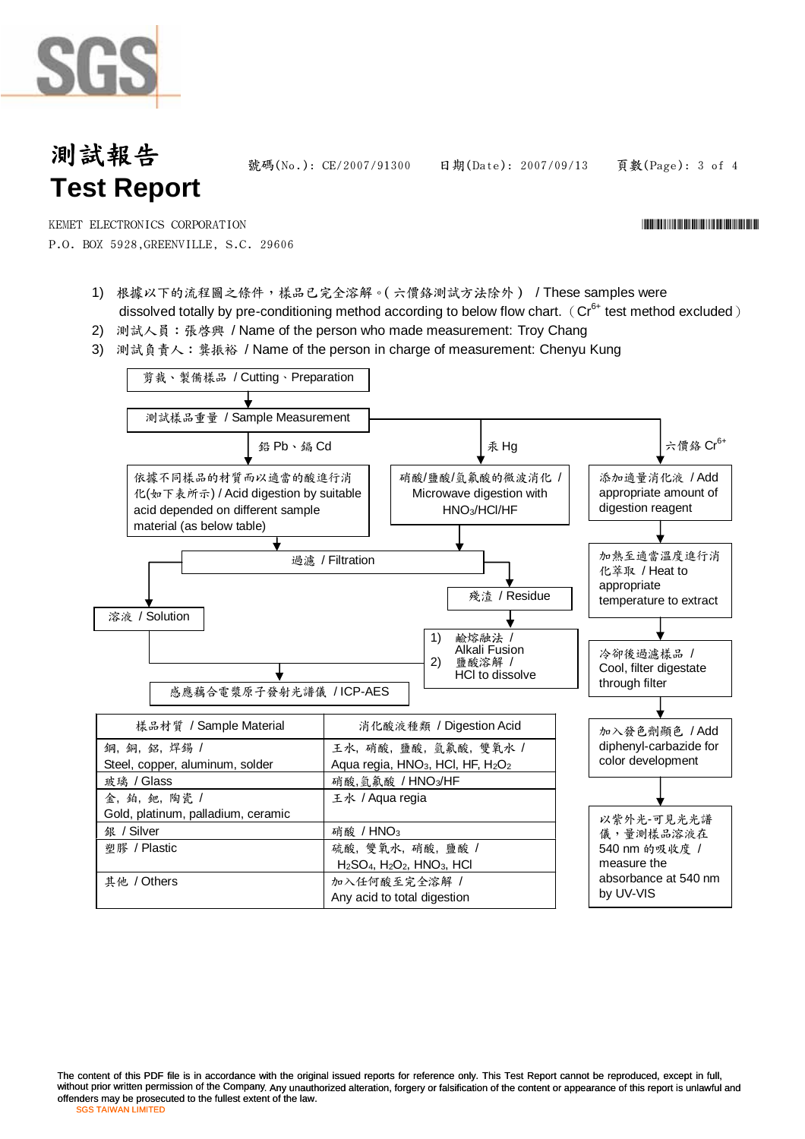# 測試報告 **Test Report**

號碼(No.): CE/2007/91300 日期(Date): 2007/09/13 頁數(Page): 3 of 4

\*CE/2007/91300\*CE/2007/91300\*CE/2007/91300\*CE/2007/91300\*CE/2007

P.O. BOX 5928,GREENVILLE, S.C. 29606 KEMET ELECTRONICS CORPORATION

- 1) 根據以下的流程圖之條件,樣品已完全溶解。(六價鉻測試方法除外) / These samples were dissolved totally by pre-conditioning method according to below flow chart. ( $Cr^{6+}$  test method excluded)
- 2) 測試人員: 張啓興 / Name of the person who made measurement: Troy Chang
- 3) 測試負責人:龔振裕 / Name of the person in charge of measurement: Chenyu Kung



The content of this PDF file is in accordance with the original issued reports for reference only. This Test Report cannot be reproduced, except in full, without prior written permission of the Company. Any unauthorized alteration, forgery or falsification of the content or appearance of this report is unlawful and SGS TAIWAN LIMITED LIMITED offenders may be prosecuted to the fullest extent of the law.